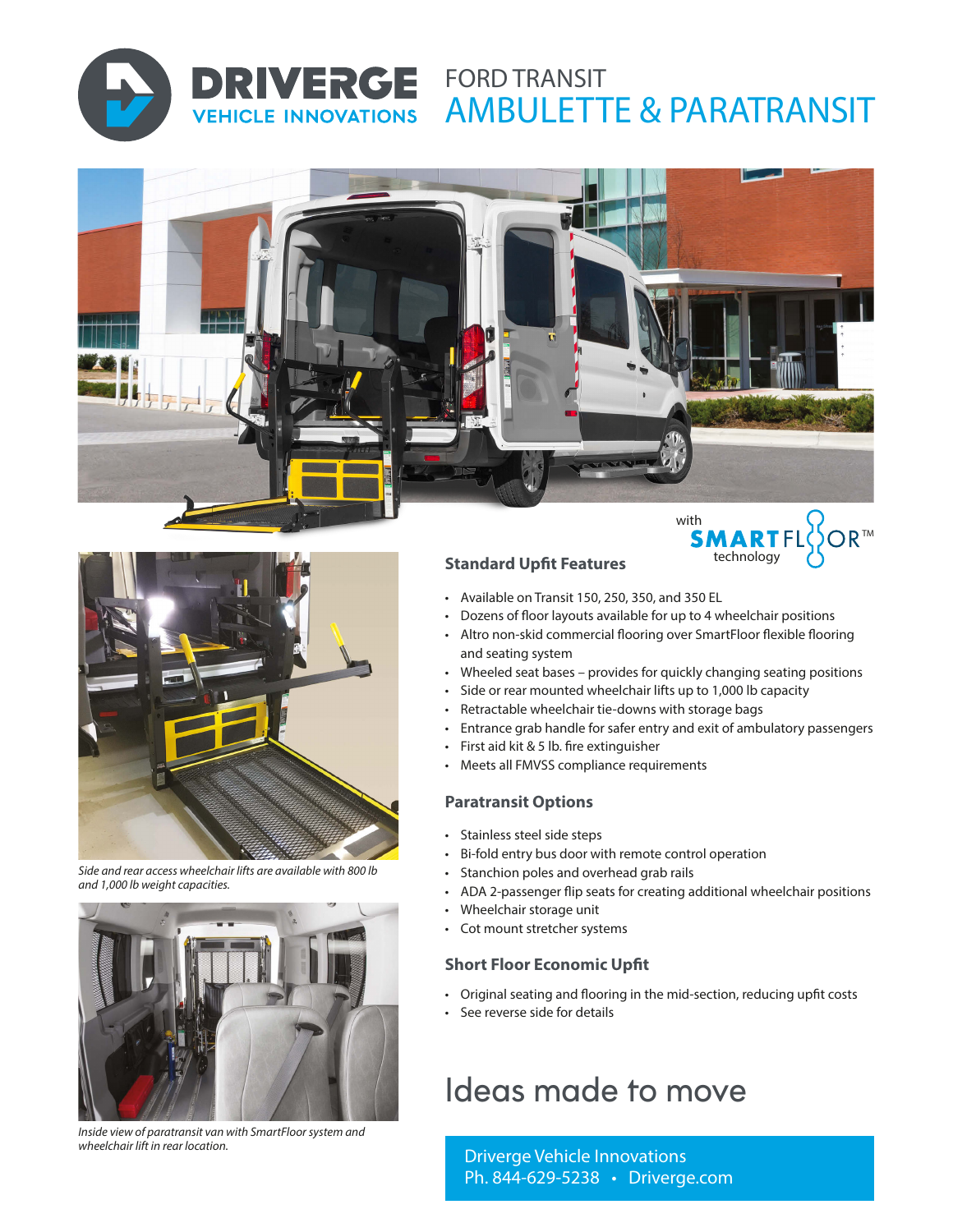

**VEHICLE INNOVATIONS** 

# **DRIVERGE FORD TRANSIT** AMBULETTE & PARATRANSIT





*Side and rear access wheelchair lifts are available with 800 lb and 1,000 lb weight capacities.*



*Inside view of paratransit van with SmartFloor system and wheelchair lift in rear location.*

# **Standard Upfit Features**

- Available on Transit 150, 250, 350, and 350 EL
- Dozens of floor layouts available for up to 4 wheelchair positions
- Altro non-skid commercial flooring over SmartFloor flexible flooring and seating system

technology

- Wheeled seat bases provides for quickly changing seating positions
- Side or rear mounted wheelchair lifts up to 1,000 lb capacity
- Retractable wheelchair tie-downs with storage bags
- Entrance grab handle for safer entry and exit of ambulatory passengers
- First aid kit & 5 lb. fire extinguisher
- Meets all FMVSS compliance requirements

#### **Paratransit Options**

- Stainless steel side steps
- Bi-fold entry bus door with remote control operation
- Stanchion poles and overhead grab rails
- ADA 2-passenger flip seats for creating additional wheelchair positions
- Wheelchair storage unit
- Cot mount stretcher systems

## **Short Floor Economic Upfit**

- Original seating and flooring in the mid-section, reducing upfit costs
- See reverse side for details

# Ideas made to move

Driverge Vehicle Innovations Ph. 844-629-5238 • Driverge.com